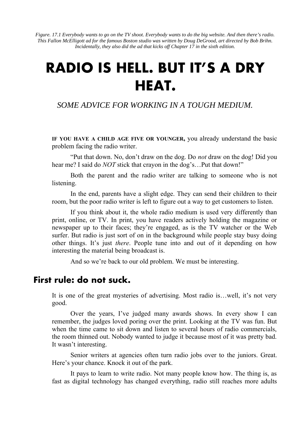*Figure. 17.1 Everybody wants to go on the TV shoot. Everybody wants to do the big website. And then there's radio. This Fallon McElligott ad for the famous Boston studio was written by Doug DeGrood, art directed by Bob Brihn. Incidentally, they also did the ad that kicks off Chapter 17 in the sixth edition.*

# **RADIO IS HELL. BUT IT'S A DRY HEAT.**

*SOME ADVICE FOR WORKING IN A TOUGH MEDIUM.*

**IF YOU HAVE A CHILD AGE FIVE OR YOUNGER,** you already understand the basic problem facing the radio writer.

"Put that down. No, don't draw on the dog. Do *not* draw on the dog! Did you hear me? I said do *NOT* stick that crayon in the dog's...Put that down!"

Both the parent and the radio writer are talking to someone who is not listening.

In the end, parents have a slight edge. They can send their children to their room, but the poor radio writer is left to figure out a way to get customers to listen.

If you think about it, the whole radio medium is used very differently than print, online, or TV. In print, you have readers actively holding the magazine or newspaper up to their faces; they're engaged, as is the TV watcher or the Web surfer. But radio is just sort of on in the background while people stay busy doing other things. It's just *there*. People tune into and out of it depending on how interesting the material being broadcast is.

And so we're back to our old problem. We must be interesting.

### **First rule: do not suck.**

It is one of the great mysteries of advertising. Most radio is…well, it's not very good.

Over the years, I've judged many awards shows. In every show I can remember, the judges loved poring over the print. Looking at the TV was fun. But when the time came to sit down and listen to several hours of radio commercials, the room thinned out. Nobody wanted to judge it because most of it was pretty bad. It wasn't interesting.

Senior writers at agencies often turn radio jobs over to the juniors. Great. Here's your chance. Knock it out of the park.

It pays to learn to write radio. Not many people know how. The thing is, as fast as digital technology has changed everything, radio still reaches more adults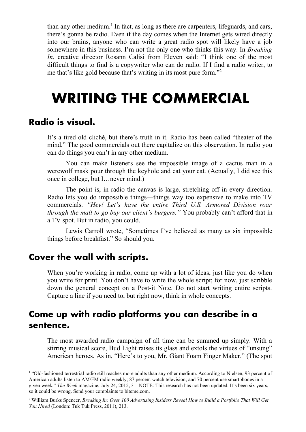<span id="page-1-0"></span>than any other medium.<sup>[1](#page-1-1)</sup> In fact, as long as there are carpenters, lifeguards, and cars, there's gonna be radio. Even if the day comes when the Internet gets wired directly into our brains, anyone who can write a great radio spot will likely have a job somewhere in this business. I'm not the only one who thinks this way. In *Breaking In*, creative director Rosann Calisi from Eleven said: "I think one of the most difficult things to find is a copywriter who can do radio. If I find a radio writer, to me that's like gold because that's writing in its most pure form."[2](#page-1-3)

# <span id="page-1-2"></span>**WRITING THE COMMERCIAL**

### **Radio is visual.**

It's a tired old cliché, but there's truth in it. Radio has been called "theater of the mind." The good commercials out there capitalize on this observation. In radio you can do things you can't in any other medium.

You can make listeners see the impossible image of a cactus man in a werewolf mask pour through the keyhole and eat your cat. (Actually, I did see this once in college, but I…never mind.)

The point is, in radio the canvas is large, stretching off in every direction. Radio lets you do impossible things—things way too expensive to make into TV commercials. *"Hey! Let's have the entire Third U.S. Armored Division roar through the mall to go buy our client's burgers."* You probably can't afford that in a TV spot. But in radio, you could.

Lewis Carroll wrote, "Sometimes I've believed as many as six impossible things before breakfast." So should you.

### **Cover the wall with scripts.**

When you're working in radio, come up with a lot of ideas, just like you do when you write for print. You don't have to write the whole script; for now, just scribble down the general concept on a Post-it Note. Do not start writing entire scripts. Capture a line if you need to, but right now, think in whole concepts.

# **Come up with radio platforms you can describe in a sentence.**

The most awarded radio campaign of all time can be summed up simply. With a stirring musical score, Bud Light raises its glass and extols the virtues of "unsung" American heroes. As in, "Here's to you, Mr. Giant Foam Finger Maker." (The spot

<span id="page-1-1"></span>[<sup>1</sup>](#page-1-0) "Old-fashioned terrestrial radio still reaches more adults than any other medium. According to Nielsen, 93 percent of American adults listen to AM/FM radio weekly; 87 percent watch television; and 70 percent use smartphones in a given week." *The Week* magazine, July 24, 2015, 31. NOTE: This research has not been updated. It's been six years, so it could be wrong. Send your complaints to biteme.com.

<span id="page-1-3"></span>[<sup>2</sup>](#page-1-2) William Burks Spencer, *Breaking In: Over 100 Advertising Insiders Reveal How to Build a Portfolio That Will Get You Hired* (London: Tuk Tuk Press, 2011), 213.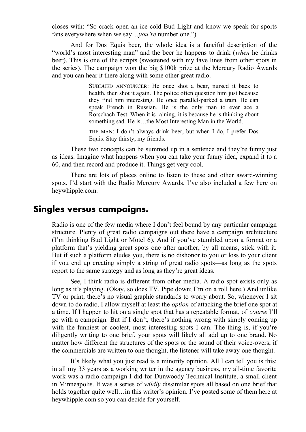closes with: "So crack open an ice-cold Bud Light and know we speak for sports fans everywhere when we say…*you're* number one.")

And for Dos Equis beer, the whole idea is a fanciful description of the "world's most interesting man" and the beer he happens to drink (*when* he drinks beer). This is one of the scripts (sweetened with my fave lines from other spots in the series). The campaign won the big \$100k prize at the Mercury Radio Awards and you can hear it there along with some other great radio.

> SUBDUED ANNOUNCER: He once shot a bear, nursed it back to health, then shot it again. The police often question him just because they find him interesting. He once parallel-parked a train. He can speak French in Russian. He is the only man to ever ace a Rorschach Test. When it is raining, it is because he is thinking about something sad. He is…the Most Interesting Man in the World.

> THE MAN: I don't always drink beer, but when I do, I prefer Dos Equis. Stay thirsty, my friends.

These two concepts can be summed up in a sentence and they're funny just as ideas. Imagine what happens when you can take your funny idea, expand it to a 60, and then record and produce it. Things get very cool.

There are lots of places online to listen to these and other award-winning spots. I'd start with the Radio Mercury Awards. I've also included a few here on heywhipple.com.

#### **Singles versus campaigns.**

Radio is one of the few media where I don't feel bound by any particular campaign structure. Plenty of great radio campaigns out there have a campaign architecture (I'm thinking Bud Light or Motel 6). And if you've stumbled upon a format or a platform that's yielding great spots one after another, by all means, stick with it. But if such a platform eludes you, there is no dishonor to you or loss to your client if you end up creating simply a string of great radio spots—as long as the spots report to the same strategy and as long as they're great ideas.

See, I think radio is different from other media. A radio spot exists only as long as it's playing. (Okay, so does TV. Pipe down; I'm on a roll here.) And unlike TV or print, there's no visual graphic standards to worry about. So, whenever I sit down to do radio, I allow myself at least the *option* of attacking the brief one spot at a time. If I happen to hit on a single spot that has a repeatable format, of *course* I'll go with a campaign. But if I don't, there's nothing wrong with simply coming up with the funniest or coolest, most interesting spots I can. The thing is, if you're diligently writing to one brief, your spots will likely all add up to one brand. No matter how different the structures of the spots or the sound of their voice-overs, if the commercials are written to one thought, the listener will take away one thought.

It's likely what you just read is a minority opinion. All I can tell you is this: in all my 33 years as a working writer in the agency business, my all-time favorite work was a radio campaign I did for Dunwoody Technical Institute, a small client in Minneapolis. It was a series of *wildly* dissimilar spots all based on one brief that holds together quite well... in this writer's opinion. I've posted some of them here at heywhipple.com so you can decide for yourself.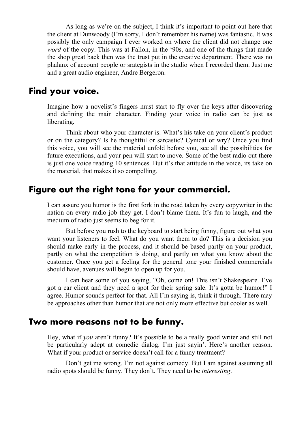As long as we're on the subject, I think it's important to point out here that the client at Dunwoody (I'm sorry, I don't remember his name) was fantastic. It was possibly the only campaign I ever worked on where the client did not change one *word* of the copy. This was at Fallon, in the '90s, and one of the things that made the shop great back then was the trust put in the creative department. There was no phalanx of account people or srategists in the studio when I recorded them. Just me and a great audio engineer, Andre Bergeron.

### **Find your voice.**

Imagine how a novelist's fingers must start to fly over the keys after discovering and defining the main character. Finding your voice in radio can be just as liberating.

Think about who your character is. What's his take on your client's product or on the category? Is he thoughtful or sarcastic? Cynical or wry? Once you find this voice, you will see the material unfold before you, see all the possibilities for future executions, and your pen will start to move. Some of the best radio out there is just one voice reading 10 sentences. But it's that attitude in the voice, its take on the material, that makes it so compelling.

## **Figure out the right tone for your commercial.**

I can assure you humor is the first fork in the road taken by every copywriter in the nation on every radio job they get. I don't blame them. It's fun to laugh, and the medium of radio just seems to beg for it.

But before you rush to the keyboard to start being funny, figure out what you want your listeners to feel. What do you want them to do? This is a decision you should make early in the process, and it should be based partly on your product, partly on what the competition is doing, and partly on what you know about the customer. Once you get a feeling for the general tone your finished commercials should have, avenues will begin to open up for you.

I can hear some of you saying, "Oh, come on! This isn't Shakespeare. I've got a car client and they need a spot for their spring sale. It's gotta be humor!" I agree. Humor sounds perfect for that. All I'm saying is, think it through. There may be approaches other than humor that are not only more effective but cooler as well.

#### **Two more reasons not to be funny.**

Hey, what if *you* aren't funny? It's possible to be a really good writer and still not be particularly adept at comedic dialog. I'm just sayin'. Here's another reason. What if your product or service doesn't call for a funny treatment?

Don't get me wrong. I'm not against comedy. But I am against assuming all radio spots should be funny. They don't. They need to be *interesting*.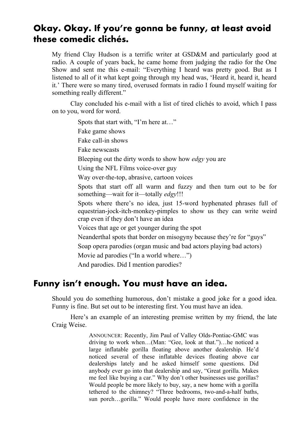# **Okay. Okay. If you're gonna be funny, at least avoid these comedic clichés.**

My friend Clay Hudson is a terrific writer at GSD&M and particularly good at radio. A couple of years back, he came home from judging the radio for the One Show and sent me this e-mail: "Everything I heard was pretty good. But as I listened to all of it what kept going through my head was, 'Heard it, heard it, heard it.' There were so many tired, overused formats in radio I found myself waiting for something really different."

Clay concluded his e-mail with a list of tired clichés to avoid, which I pass on to you, word for word.

Spots that start with, "I'm here at..."

Fake game shows

Fake call-in shows

Fake newscasts

Bleeping out the dirty words to show how *edgy* you are

Using the NFL Films voice-over guy

Way over-the-top, abrasive, cartoon voices

Spots that start off all warm and fuzzy and then turn out to be for something—wait for it—totally *edgy*!!!

Spots where there's no idea, just 15-word hyphenated phrases full of equestrian-jock-itch-monkey-pimples to show us they can write weird crap even if they don't have an idea

Voices that age or get younger during the spot

Neanderthal spots that border on misogyny because they're for "guys"

Soap opera parodies (organ music and bad actors playing bad actors)

Movie ad parodies ("In a world where…")

And parodies. Did I mention parodies?

## **Funny isn't enough. You must have an idea.**

Should you do something humorous, don't mistake a good joke for a good idea. Funny is fine. But set out to be interesting first. You must have an idea.

Here's an example of an interesting premise written by my friend, the late Craig Weise.

> ANNOUNCER: Recently, Jim Paul of Valley Olds-Pontiac-GMC was driving to work when…(Man: "Gee, look at that.")…he noticed a large inflatable gorilla floating above another dealership. He'd noticed several of these inflatable devices floating above car dealerships lately and he asked himself some questions. Did anybody ever go into that dealership and say, "Great gorilla. Makes me feel like buying a car." Why don't other businesses use gorillas? Would people be more likely to buy, say, a new home with a gorilla tethered to the chimney? "Three bedrooms, two-and-a-half baths, sun porch…gorilla." Would people have more confidence in the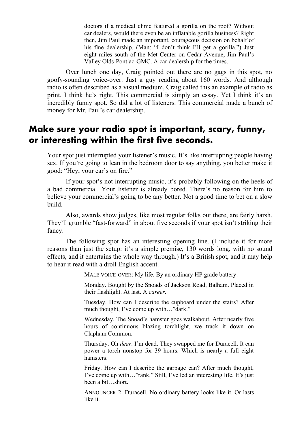doctors if a medical clinic featured a gorilla on the roof? Without car dealers, would there even be an inflatable gorilla business? Right then, Jim Paul made an important, courageous decision on behalf of his fine dealership. (Man: "I don't think I'll get a gorilla.") Just eight miles south of the Met Center on Cedar Avenue, Jim Paul's Valley Olds-Pontiac-GMC. A car dealership for the times.

Over lunch one day, Craig pointed out there are no gags in this spot, no goofy-sounding voice-over. Just a guy reading about 160 words. And although radio is often described as a visual medium, Craig called this an example of radio as print. I think he's right. This commercial is simply an essay. Yet I think it's an incredibly funny spot. So did a lot of listeners. This commercial made a bunch of money for Mr. Paul's car dealership.

## **Make sure your radio spot is important, scary, funny, or interesting within the first five seconds.**

Your spot just interrupted your listener's music. It's like interrupting people having sex. If you're going to lean in the bedroom door to say anything, you better make it good: "Hey, your car's on fire."

If your spot's not interrupting music, it's probably following on the heels of a bad commercial. Your listener is already bored. There's no reason for him to believe your commercial's going to be any better. Not a good time to bet on a slow build.

Also, awards show judges, like most regular folks out there, are fairly harsh. They'll grumble "fast-forward" in about five seconds if your spot isn't striking their fancy.

The following spot has an interesting opening line. (I include it for more reasons than just the setup: it's a simple premise, 130 words long, with no sound effects, and it entertains the whole way through.) It's a British spot, and it may help to hear it read with a droll English accent.

MALE VOICE-OVER: My life. By an ordinary HP grade battery.

Monday. Bought by the Snoads of Jackson Road, Balham. Placed in their flashlight. At last. A *career*.

Tuesday. How can I describe the cupboard under the stairs? After much thought, I've come up with..."dark."

Wednesday. The Snoad's hamster goes walkabout. After nearly five hours of continuous blazing torchlight, we track it down on Clapham Common.

Thursday. Oh *dear*. I'm dead. They swapped me for Duracell. It can power a torch nonstop for 39 hours. Which is nearly a full eight hamsters.

Friday. How can I describe the garbage can? After much thought, I've come up with…"rank." Still, I've led an interesting life. It's just been a bit…short.

ANNOUNCER 2: Duracell. No ordinary battery looks like it. Or lasts like it.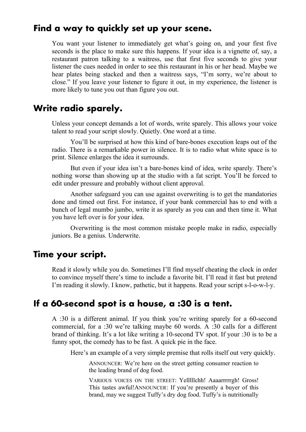# **Find a way to quickly set up your scene.**

You want your listener to immediately get what's going on, and your first five seconds is the place to make sure this happens. If your idea is a vignette of, say, a restaurant patron talking to a waitress, use that first five seconds to give your listener the cues needed in order to see this restaurant in his or her head. Maybe we hear plates being stacked and then a waitress says, "I'm sorry, we're about to close." If you leave your listener to figure it out, in my experience, the listener is more likely to tune you out than figure you out.

## **Write radio sparely.**

Unless your concept demands a lot of words, write sparely. This allows your voice talent to read your script slowly. Quietly. One word at a time.

You'll be surprised at how this kind of bare-bones execution leaps out of the radio. There is a remarkable power in silence. It is to radio what white space is to print. Silence enlarges the idea it surrounds.

But even if your idea isn't a bare-bones kind of idea, write sparely. There's nothing worse than showing up at the studio with a fat script. You'll be forced to edit under pressure and probably without client approval.

Another safeguard you can use against overwriting is to get the mandatories done and timed out first. For instance, if your bank commercial has to end with a bunch of legal mumbo jumbo, write it as sparely as you can and then time it. What you have left over is for your idea.

Overwriting is the most common mistake people make in radio, especially juniors. Be a genius. Underwrite.

### **Time your script.**

Read it slowly while you do. Sometimes I'll find myself cheating the clock in order to convince myself there's time to include a favorite bit. I'll read it fast but pretend I'm reading it slowly. I know, pathetic, but it happens. Read your script s-l-o-w-l-y.

## **If a 60-second spot is a house, a :30 is a tent.**

A :30 is a different animal. If you think you're writing sparely for a 60-second commercial, for a :30 we're talking maybe 60 words. A :30 calls for a different brand of thinking. It's a lot like writing a 10-second TV spot. If your :30 is to be a funny spot, the comedy has to be fast. A quick pie in the face.

Here's an example of a very simple premise that rolls itself out very quickly.

ANNOUNCER: We're here on the street getting consumer reaction to the leading brand of dog food.

VARIOUS VOICES ON THE STREET: Yelllllchh! Aaaarrrrrgh! Gross! This tastes awful!ANNOUNCER: If you're presently a buyer of this brand, may we suggest Tuffy's dry dog food. Tuffy's is nutritionally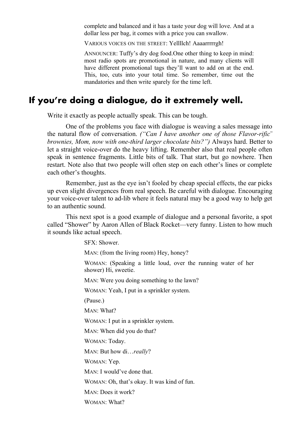complete and balanced and it has a taste your dog will love. And at a dollar less per bag, it comes with a price you can swallow.

VARIOUS VOICES ON THE STREET: Yellllch! Aaaarrrrrgh!

ANNOUNCER: Tuffy's dry dog food.One other thing to keep in mind: most radio spots are promotional in nature, and many clients will have different promotional tags they'll want to add on at the end. This, too, cuts into your total time. So remember, time out the mandatories and then write sparely for the time left.

## **If you're doing a dialogue, do it extremely well.**

Write it exactly as people actually speak. This can be tough.

One of the problems you face with dialogue is weaving a sales message into the natural flow of conversation. *("Can I have another one of those Flavor-rific*¨ *brownies, Mom, now with one-third larger chocolate bits?")* Always hard. Better to let a straight voice-over do the heavy lifting. Remember also that real people often speak in sentence fragments. Little bits of talk. That start, but go nowhere. Then restart. Note also that two people will often step on each other's lines or complete each other's thoughts.

Remember, just as the eye isn't fooled by cheap special effects, the ear picks up even slight divergences from real speech. Be careful with dialogue. Encouraging your voice-over talent to ad-lib where it feels natural may be a good way to help get to an authentic sound.

This next spot is a good example of dialogue and a personal favorite, a spot called "Shower" by Aaron Allen of Black Rocket—very funny. Listen to how much it sounds like actual speech.

SFX: Shower.

MAN: (from the living room) Hey, honey?

WOMAN: (Speaking a little loud, over the running water of her shower) Hi, sweetie.

MAN: Were you doing something to the lawn?

WOMAN: Yeah, I put in a sprinkler system.

(Pause.)

MAN: What?

WOMAN: I put in a sprinkler system.

MAN: When did you do that?

WOMAN: Today.

MAN: But how di…*really*?

WOMAN: Yep.

MAN: I would've done that.

WOMAN: Oh, that's okay. It was kind of fun.

MAN: Does it work?

WOMAN: What?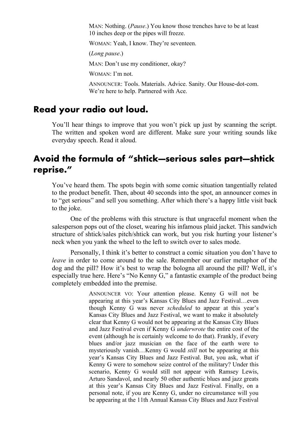MAN: Nothing. (*Pause*.) You know those trenches have to be at least 10 inches deep or the pipes will freeze.

WOMAN: Yeah, I know. They're seventeen.

(*Long pause*.)

MAN: Don't use my conditioner, okay?

WOMAN: I'm not.

ANNOUNCER: Tools. Materials. Advice. Sanity. Our House-dot-com. We're here to help. Partnered with Ace.

#### **Read your radio out loud.**

You'll hear things to improve that you won't pick up just by scanning the script. The written and spoken word are different. Make sure your writing sounds like everyday speech. Read it aloud.

### **Avoid the formula of "shtick—serious sales part—shtick reprise."**

You've heard them. The spots begin with some comic situation tangentially related to the product benefit. Then, about 40 seconds into the spot, an announcer comes in to "get serious" and sell you something. After which there's a happy little visit back to the joke.

One of the problems with this structure is that ungraceful moment when the salesperson pops out of the closet, wearing his infamous plaid jacket. This sandwich structure of shtick/sales pitch/shtick can work, but you risk hurting your listener's neck when you yank the wheel to the left to switch over to sales mode.

Personally, I think it's better to construct a comic situation you don't have to *leave* in order to come around to the sale. Remember our earlier metaphor of the dog and the pill? How it's best to wrap the bologna all around the pill? Well, it's especially true here. Here's "No Kenny G," a fantastic example of the product being completely embedded into the premise.

> ANNOUNCER VO: Your attention please. Kenny G will not be appearing at this year's Kansas City Blues and Jazz Festival…even though Kenny G was never *scheduled* to appear at this year's Kansas City Blues and Jazz Festival, we want to make it absolutely clear that Kenny G would not be appearing at the Kansas City Blues and Jazz Festival even if Kenny G *underwrote* the entire cost of the event (although he is certainly welcome to do that). Frankly, if every blues and/or jazz musician on the face of the earth were to mysteriously vanish…Kenny G would *still* not be appearing at this year's Kansas City Blues and Jazz Festival. But, you ask, what if Kenny G were to somehow seize control of the military? Under this scenario, Kenny G would still not appear with Ramsey Lewis, Arturo Sandavol, and nearly 50 other authentic blues and jazz greats at this year's Kansas City Blues and Jazz Festival. Finally, on a personal note, if you are Kenny G, under no circumstance will you be appearing at the 11th Annual Kansas City Blues and Jazz Festival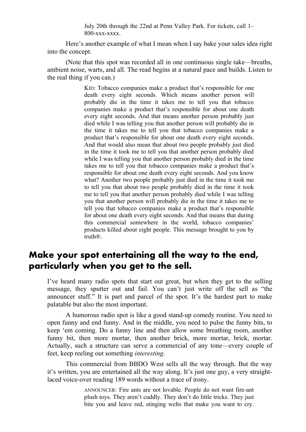July 20th through the 22nd at Penn Valley Park. For tickets, call 1– 800-xxx-xxxx.

Here's another example of what I mean when I say bake your sales idea right into the concept.

(Note that this spot was recorded all in one continuous single take—breaths, ambient noise, warts, and all. The read begins at a natural pace and builds. Listen to the real thing if you can.)

> KID: Tobacco companies make a product that's responsible for one death every eight seconds. Which means another person will probably die in the time it takes me to tell you that tobacco companies make a product that's responsible for about one death every eight seconds. And that means another person probably just died while I was telling you that another person will probably die in the time it takes me to tell you that tobacco companies make a product that's responsible for about one death every eight seconds. And that would also mean that about two people probably just died in the time it took me to tell you that another person probably died while I was telling you that another person probably died in the time takes me to tell you that tobacco companies make a product that's responsible for about one death every eight seconds. And you know what? Another two people probably just died in the time it took me to tell you that about two people probably died in the time it took me to tell you that another person probably died while I was telling you that another person will probably die in the time it takes me to tell you that tobacco companies make a product that's responsible for about one death every eight seconds. And that means that during this commercial somewhere in the world, tobacco companies' products killed about eight people. This message brought to you by truth®.

## **Make your spot entertaining all the way to the end, particularly when you get to the sell.**

I've heard many radio spots that start out great, but when they get to the selling message, they sputter out and fail. You can't just write off the sell as "the announcer stuff." It is part and parcel of the spot. It's the hardest part to make palatable but also the most important.

A humorous radio spot is like a good stand-up comedy routine. You need to open funny and end funny. And in the middle, you need to pulse the funny bits, to keep 'em coming. Do a funny line and then allow some breathing room, another funny bit, then more mortar, then another brick, more mortar, brick, mortar. Actually, such a structure can serve a commercial of any tone—every couple of feet, keep reeling out something *interesting*.

This commercial from BBDO West sells all the way through. But the way it's written, you are entertained all the way along. It's just one guy, a very straightlaced voice-over reading 189 words without a trace of irony.

> ANNOUNCER: Fire ants are not lovable. People do not want fire-ant plush toys. They aren't cuddly. They don't do little tricks. They just bite you and leave red, stinging welts that make you want to cry.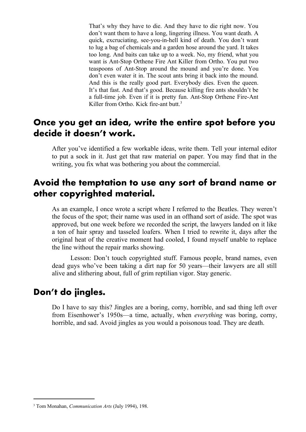<span id="page-10-0"></span>That's why they have to die. And they have to die right now. You don't want them to have a long, lingering illness. You want death. A quick, excruciating, see-you-in-hell kind of death. You don't want to lug a bag of chemicals and a garden hose around the yard. It takes too long. And baits can take up to a week. No, my friend, what you want is Ant-Stop Orthene Fire Ant Killer from Ortho. You put two teaspoons of Ant-Stop around the mound and you're done. You don't even water it in. The scout ants bring it back into the mound. And this is the really good part. Everybody dies. Even the queen. It's that fast. And that's good. Because killing fire ants shouldn't be a full-time job. Even if it is pretty fun. Ant-Stop Orthene Fire-Ant Killer from Ortho. Kick fire-ant butt.<sup>[3](#page-10-1)</sup>

## **Once you get an idea, write the entire spot before you decide it doesn't work.**

After you've identified a few workable ideas, write them. Tell your internal editor to put a sock in it. Just get that raw material on paper. You may find that in the writing, you fix what was bothering you about the commercial.

## **Avoid the temptation to use any sort of brand name or other copyrighted material.**

As an example, I once wrote a script where I referred to the Beatles. They weren't the focus of the spot; their name was used in an offhand sort of aside. The spot was approved, but one week before we recorded the script, the lawyers landed on it like a ton of hair spray and tasseled loafers. When I tried to rewrite it, days after the original heat of the creative moment had cooled, I found myself unable to replace the line without the repair marks showing.

Lesson: Don't touch copyrighted stuff. Famous people, brand names, even dead guys who've been taking a dirt nap for 50 years—their lawyers are all still alive and slithering about, full of grim reptilian vigor. Stay generic.

## **Don't do jingles.**

Do I have to say this? Jingles are a boring, corny, horrible, and sad thing left over from Eisenhower's 1950s—a time, actually, when *everything* was boring, corny, horrible, and sad. Avoid jingles as you would a poisonous toad. They are death.

<span id="page-10-1"></span>[<sup>3</sup>](#page-10-0) Tom Monahan, *Communication Arts* (July 1994), 198.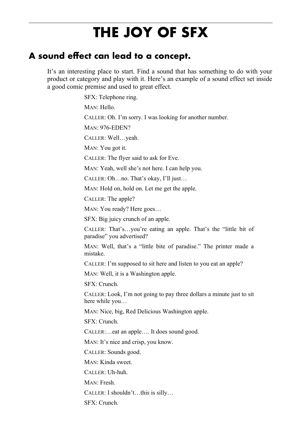# **THE JOY OF SFX**

### **A sound effect can lead to a concept.**

It's an interesting place to start. Find a sound that has something to do with your product or category and play with it. Here's an example of a sound effect set inside a good comic premise and used to great effect.

SFX: Telephone ring.

MAN: Hello.

CALLER: Oh. I'm sorry. I was looking for another number.

MAN: 976-EDEN?

CALLER: Well…yeah.

MAN: You got it.

CALLER: The flyer said to ask for Eve.

MAN: Yeah, well she's not here. I can help you.

CALLER: Oh…no. That's okay, I'll just…

MAN: Hold on, hold on. Let me get the apple.

CALLER: The apple?

MAN: You ready? Here goes…

SFX: Big juicy crunch of an apple.

CALLER: That's…you're eating an apple. That's the "little bit of paradise" you advertised?

MAN: Well, that's a "little bite of paradise." The printer made a mistake.

CALLER: I'm supposed to sit here and listen to you eat an apple?

MAN: Well, it is a Washington apple.

SFX: Crunch.

CALLER: Look, I'm not going to pay three dollars a minute just to sit here while you…

MAN: Nice, big, Red Delicious Washington apple.

SFX: Crunch.

CALLER:…eat an apple…. It does sound good.

MAN: It's nice and crisp, you know.

CALLER: Sounds good.

MAN: Kinda sweet.

CALLER: Uh-huh.

MAN: Fresh.

CALLER: I shouldn't…this is silly…

SFX: Crunch.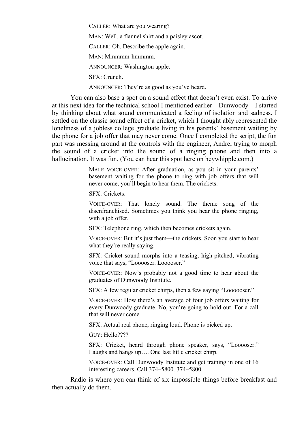CALLER: What are you wearing?

MAN: Well, a flannel shirt and a paisley ascot.

CALLER: Oh. Describe the apple again.

MAN: Mmmmm-hmmmm.

ANNOUNCER: Washington apple.

SFX: Crunch.

ANNOUNCER: They're as good as you've heard.

You can also base a spot on a sound effect that doesn't even exist. To arrive at this next idea for the technical school I mentioned earlier—Dunwoody—I started by thinking about what sound communicated a feeling of isolation and sadness. I settled on the classic sound effect of a cricket, which I thought ably represented the loneliness of a jobless college graduate living in his parents' basement waiting by the phone for a job offer that may never come. Once I completed the script, the fun part was messing around at the controls with the engineer, Andre, trying to morph the sound of a cricket into the sound of a ringing phone and then into a hallucination. It was fun. (You can hear this spot here on heywhipple.com.)

> MALE VOICE-OVER: After graduation, as you sit in your parents' basement waiting for the phone to ring with job offers that will never come, you'll begin to hear them. The crickets.

SFX: Crickets.

VOICE-OVER: That lonely sound. The theme song of the disenfranchised. Sometimes you think you hear the phone ringing, with a job offer.

SFX: Telephone ring, which then becomes crickets again.

VOICE-OVER: But it's just them—the crickets. Soon you start to hear what they're really saying.

SFX: Cricket sound morphs into a teasing, high-pitched, vibrating voice that says, "Looooser. Looooser."

VOICE-OVER: Now's probably not a good time to hear about the graduates of Dunwoody Institute.

SFX: A few regular cricket chirps, then a few saying "Loooooser."

VOICE-OVER: How there's an average of four job offers waiting for every Dunwoody graduate. No, you're going to hold out. For a call that will never come.

SFX: Actual real phone, ringing loud. Phone is picked up.

GUY: Hello????

SFX: Cricket, heard through phone speaker, says, "Looooser." Laughs and hangs up…. One last little cricket chirp.

VOICE-OVER: Call Dunwoody Institute and get training in one of 16 interesting careers. Call 374–5800. 374–5800.

Radio is where you can think of six impossible things before breakfast and then actually do them.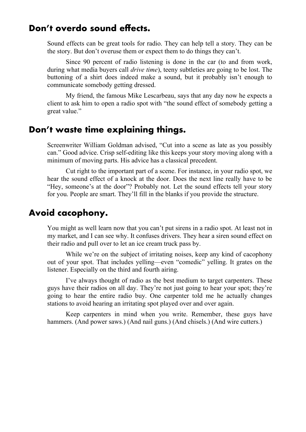### **Don't overdo sound effects.**

Sound effects can be great tools for radio. They can help tell a story. They can be the story. But don't overuse them or expect them to do things they can't.

Since 90 percent of radio listening is done in the car (to and from work, during what media buyers call *drive time*), teeny subtleties are going to be lost. The buttoning of a shirt does indeed make a sound, but it probably isn't enough to communicate somebody getting dressed.

My friend, the famous Mike Lescarbeau, says that any day now he expects a client to ask him to open a radio spot with "the sound effect of somebody getting a great value."

### **Don't waste time explaining things.**

Screenwriter William Goldman advised, "Cut into a scene as late as you possibly can." Good advice. Crisp self-editing like this keeps your story moving along with a minimum of moving parts. His advice has a classical precedent.

Cut right to the important part of a scene. For instance, in your radio spot, we hear the sound effect of a knock at the door. Does the next line really have to be "Hey, someone's at the door"? Probably not. Let the sound effects tell your story for you. People are smart. They'll fill in the blanks if you provide the structure.

## **Avoid cacophony.**

You might as well learn now that you can't put sirens in a radio spot. At least not in my market, and I can see why. It confuses drivers. They hear a siren sound effect on their radio and pull over to let an ice cream truck pass by.

While we're on the subject of irritating noises, keep any kind of cacophony out of your spot. That includes yelling—even "comedic" yelling. It grates on the listener. Especially on the third and fourth airing.

I've always thought of radio as the best medium to target carpenters. These guys have their radios on all day. They're not just going to hear your spot; they're going to hear the entire radio buy. One carpenter told me he actually changes stations to avoid hearing an irritating spot played over and over again.

Keep carpenters in mind when you write. Remember, these guys have hammers. (And power saws.) (And nail guns.) (And chisels.) (And wire cutters.)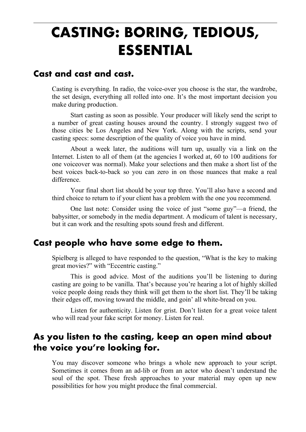# **CASTING: BORING, TEDIOUS, ESSENTIAL**

### **Cast and cast and cast.**

Casting is everything. In radio, the voice-over you choose is the star, the wardrobe, the set design, everything all rolled into one. It's the most important decision you make during production.

Start casting as soon as possible. Your producer will likely send the script to a number of great casting houses around the country. I strongly suggest two of those cities be Los Angeles and New York. Along with the scripts, send your casting specs: some description of the quality of voice you have in mind.

About a week later, the auditions will turn up, usually via a link on the Internet. Listen to all of them (at the agencies I worked at, 60 to 100 auditions for one voiceover was normal). Make your selections and then make a short list of the best voices back-to-back so you can zero in on those nuances that make a real difference.

Your final short list should be your top three. You'll also have a second and third choice to return to if your client has a problem with the one you recommend.

One last note: Consider using the voice of just "some guy"—a friend, the babysitter, or somebody in the media department. A modicum of talent is necessary, but it can work and the resulting spots sound fresh and different.

## **Cast people who have some edge to them.**

Spielberg is alleged to have responded to the question, "What is the key to making great movies?" with "Eccentric casting."

This is good advice. Most of the auditions you'll be listening to during casting are going to be vanilla. That's because you're hearing a lot of highly skilled voice people doing reads they think will get them to the short list. They'll be taking their edges off, moving toward the middle, and goin' all white-bread on you.

Listen for authenticity. Listen for grist. Don't listen for a great voice talent who will read your fake script for money. Listen for real.

# **As you listen to the casting, keep an open mind about the voice you're looking for.**

You may discover someone who brings a whole new approach to your script. Sometimes it comes from an ad-lib or from an actor who doesn't understand the soul of the spot. These fresh approaches to your material may open up new possibilities for how you might produce the final commercial.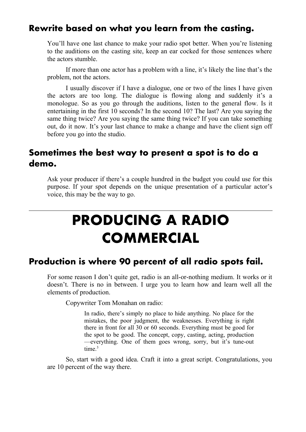# **Rewrite based on what you learn from the casting.**

You'll have one last chance to make your radio spot better. When you're listening to the auditions on the casting site, keep an ear cocked for those sentences where the actors stumble.

If more than one actor has a problem with a line, it's likely the line that's the problem, not the actors.

I usually discover if I have a dialogue, one or two of the lines I have given the actors are too long. The dialogue is flowing along and suddenly it's a monologue. So as you go through the auditions, listen to the general flow. Is it entertaining in the first 10 seconds? In the second 10? The last? Are you saying the same thing twice? Are you saying the same thing twice? If you can take something out, do it now. It's your last chance to make a change and have the client sign off before you go into the studio.

# **Sometimes the best way to present a spot is to do a demo.**

Ask your producer if there's a couple hundred in the budget you could use for this purpose. If your spot depends on the unique presentation of a particular actor's voice, this may be the way to go.

# **PRODUCING A RADIO COMMERCIAL**

## **Production is where 90 percent of all radio spots fail.**

For some reason I don't quite get, radio is an all-or-nothing medium. It works or it doesn't. There is no in between. I urge you to learn how and learn well all the elements of production.

Copywriter Tom Monahan on radio:

In radio, there's simply no place to hide anything. No place for the mistakes, the poor judgment, the weaknesses. Everything is right there in front for all 30 or 60 seconds. Everything must be good for the spot to be good. The concept, copy, casting, acting, production —everything. One of them goes wrong, sorry, but it's tune-out time $3$ 

So, start with a good idea. Craft it into a great script. Congratulations, you are 10 percent of the way there.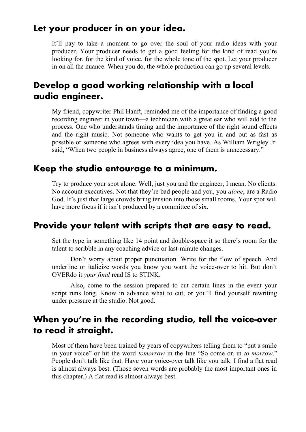## **Let your producer in on your idea.**

It'll pay to take a moment to go over the soul of your radio ideas with your producer. Your producer needs to get a good feeling for the kind of read you're looking for, for the kind of voice, for the whole tone of the spot. Let your producer in on all the nuance. When you do, the whole production can go up several levels.

## **Develop a good working relationship with a local audio engineer.**

My friend, copywriter Phil Hanft, reminded me of the importance of finding a good recording engineer in your town—a technician with a great ear who will add to the process. One who understands timing and the importance of the right sound effects and the right music. Not someone who wants to get you in and out as fast as possible or someone who agrees with every idea you have. As William Wrigley Jr. said, "When two people in business always agree, one of them is unnecessary."

#### **Keep the studio entourage to a minimum.**

Try to produce your spot alone. Well, just you and the engineer, I mean. No clients. No account executives. Not that they're bad people and you, you *alone*, are a Radio God. It's just that large crowds bring tension into those small rooms. Your spot will have more focus if it isn't produced by a committee of six.

#### **Provide your talent with scripts that are easy to read.**

Set the type in something like 14 point and double-space it so there's room for the talent to scribble in any coaching advice or last-minute changes.

Don't worry about proper punctuation. Write for the flow of speech. And underline or italicize words you know you want the voice-over to hit. But don't OVERdo it *your final* read IS to STINK.

Also, come to the session prepared to cut certain lines in the event your script runs long. Know in advance what to cut, or you'll find yourself rewriting under pressure at the studio. Not good.

# **When you're in the recording studio, tell the voice-over to read it straight.**

Most of them have been trained by years of copywriters telling them to "put a smile in your voice" or hit the word *tomorrow* in the line "So come on in *to-morrow*." People don't talk like that. Have your voice-over talk like you talk. I find a flat read is almost always best. (Those seven words are probably the most important ones in this chapter.) A flat read is almost always best.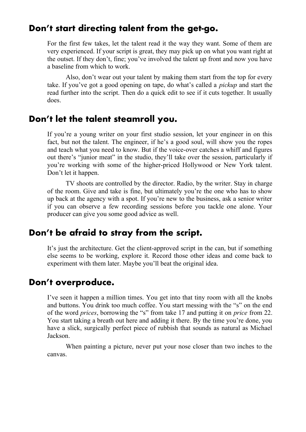## **Don't start directing talent from the get-go.**

For the first few takes, let the talent read it the way they want. Some of them are very experienced. If your script is great, they may pick up on what you want right at the outset. If they don't, fine; you've involved the talent up front and now you have a baseline from which to work.

Also, don't wear out your talent by making them start from the top for every take. If you've got a good opening on tape, do what's called a *pickup* and start the read further into the script. Then do a quick edit to see if it cuts together. It usually does.

### **Don't let the talent steamroll you.**

If you're a young writer on your first studio session, let your engineer in on this fact, but not the talent. The engineer, if he's a good soul, will show you the ropes and teach what you need to know. But if the voice-over catches a whiff and figures out there's "junior meat" in the studio, they'll take over the session, particularly if you're working with some of the higher-priced Hollywood or New York talent. Don't let it happen.

TV shoots are controlled by the director. Radio, by the writer. Stay in charge of the room. Give and take is fine, but ultimately you're the one who has to show up back at the agency with a spot. If you're new to the business, ask a senior writer if you can observe a few recording sessions before you tackle one alone. Your producer can give you some good advice as well.

## **Don't be afraid to stray from the script.**

It's just the architecture. Get the client-approved script in the can, but if something else seems to be working, explore it. Record those other ideas and come back to experiment with them later. Maybe you'll beat the original idea.

### **Don't overproduce.**

I've seen it happen a million times. You get into that tiny room with all the knobs and buttons. You drink too much coffee. You start messing with the "s" on the end of the word *prices*, borrowing the "s" from take 17 and putting it on *price* from 22. You start taking a breath out here and adding it there. By the time you're done, you have a slick, surgically perfect piece of rubbish that sounds as natural as Michael Jackson.

When painting a picture, never put your nose closer than two inches to the canvas.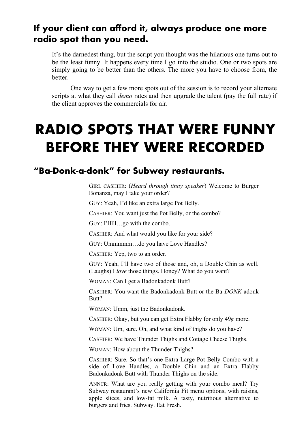# **If your client can afford it, always produce one more radio spot than you need.**

It's the darnedest thing, but the script you thought was the hilarious one turns out to be the least funny. It happens every time I go into the studio. One or two spots are simply going to be better than the others. The more you have to choose from, the **better** 

One way to get a few more spots out of the session is to record your alternate scripts at what they call *demo* rates and then upgrade the talent (pay the full rate) if the client approves the commercials for air.

# **RADIO SPOTS THAT WERE FUNNY BEFORE THEY WERE RECORDED**

### **"Ba-Donk-a-donk" for Subway restaurants.**

GIRL CASHIER: (*Heard through tinny speaker*) Welcome to Burger Bonanza, may I take your order?

GUY: Yeah, I'd like an extra large Pot Belly.

CASHIER: You want just the Pot Belly, or the combo?

GUY: I'lllll…go with the combo.

CASHIER: And what would you like for your side?

GUY: Ummmmm…do you have Love Handles?

CASHIER: Yep, two to an order.

GUY: Yeah, I'll have two of those and, oh, a Double Chin as well. (Laughs) I *love* those things. Honey? What do you want?

WOMAN: Can I get a Badonkadonk Butt?

CASHIER: You want the Badonkadonk Butt or the Ba-*DONK*-adonk Butt?

WOMAN: Umm, just the Badonkadonk.

CASHIER: Okay, but you can get Extra Flabby for only  $49¢$  more.

WOMAN: Um, sure. Oh, and what kind of thighs do you have?

CASHIER: We have Thunder Thighs and Cottage Cheese Thighs.

WOMAN: How about the Thunder Thighs?

CASHIER: Sure. So that's one Extra Large Pot Belly Combo with a side of Love Handles, a Double Chin and an Extra Flabby Badonkadonk Butt with Thunder Thighs on the side.

ANNCR: What are you really getting with your combo meal? Try Subway restaurant's new California Fit menu options, with raisins, apple slices, and low-fat milk. A tasty, nutritious alternative to burgers and fries. Subway. Eat Fresh.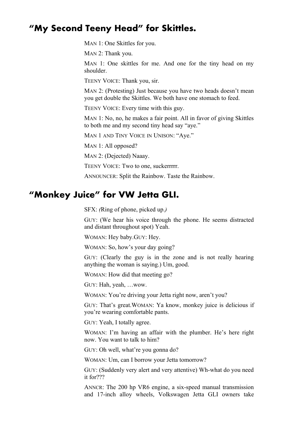## **"My Second Teeny Head" for Skittles.**

MAN 1: One Skittles for you.

MAN 2: Thank you.

MAN 1: One skittles for me. And one for the tiny head on my shoulder.

TEENY VOICE: Thank you, sir.

MAN 2: (Protesting) Just because you have two heads doesn't mean you get double the Skittles. We both have one stomach to feed.

TEENY VOICE: Every time with this guy.

MAN 1: No, no, he makes a fair point. All in favor of giving Skittles to both me and my second tiny head say "aye."

MAN 1 AND TINY VOICE IN UNISON: "Aye."

MAN 1: All opposed?

MAN 2: (Dejected) Naaay.

TEENY VOICE: Two to one, suckerrrrr.

ANNOUNCER: Split the Rainbow. Taste the Rainbow.

### **"Monkey Juice" for VW Jetta GLI.**

SFX: *(*Ring of phone, picked up.*)*

GUY: (We hear his voice through the phone. He seems distracted and distant throughout spot) Yeah.

WOMAN: Hey baby.GUY: Hey.

WOMAN: So, how's your day going?

GUY: (Clearly the guy is in the zone and is not really hearing anything the woman is saying.) Um, good.

WOMAN: How did that meeting go?

GUY: Hah, yeah, …wow.

WOMAN: You're driving your Jetta right now, aren't you?

GUY: That's great.WOMAN: Ya know, monkey juice is delicious if you're wearing comfortable pants.

GUY: Yeah, I totally agree.

WOMAN: I'm having an affair with the plumber. He's here right now. You want to talk to him?

GUY: Oh well, what're you gonna do?

WOMAN: Um, can I borrow your Jetta tomorrow?

GUY: (Suddenly very alert and very attentive) Wh-what do you need it for???

ANNCR: The 200 hp VR6 engine, a six-speed manual transmission and 17-inch alloy wheels, Volkswagen Jetta GLI owners take